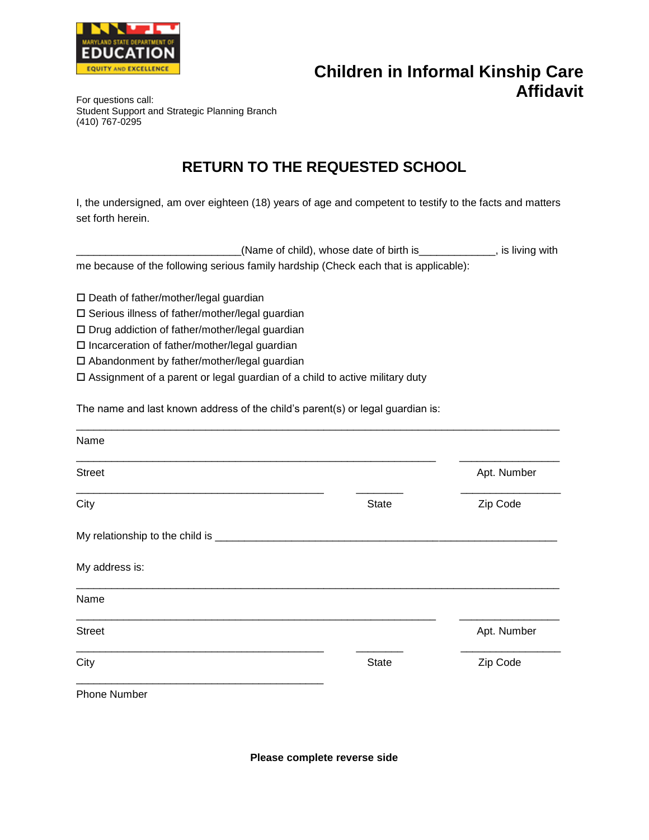

## **Children in Informal Kinship Care Affidavit** For questions call:

Student Support and Strategic Planning Branch (410) 767-0295

## **RETURN TO THE REQUESTED SCHOOL**

I, the undersigned, am over eighteen (18) years of age and competent to testify to the facts and matters set forth herein.

| _(Name of child), whose date of birth is_                                            | , is living with |
|--------------------------------------------------------------------------------------|------------------|
| me because of the following serious family hardship (Check each that is applicable): |                  |

□ Death of father/mother/legal guardian

Serious illness of father/mother/legal guardian

□ Drug addiction of father/mother/legal guardian

□ Incarceration of father/mother/legal guardian

Abandonment by father/mother/legal guardian

Assignment of a parent or legal guardian of a child to active military duty

The name and last known address of the child's parent(s) or legal guardian is:

| Name                |              |             |
|---------------------|--------------|-------------|
| <b>Street</b>       |              | Apt. Number |
| City                | <b>State</b> | Zip Code    |
|                     |              |             |
| My address is:      |              |             |
| Name                |              |             |
| <b>Street</b>       |              | Apt. Number |
| City                | <b>State</b> | Zip Code    |
| <b>Phone Number</b> |              |             |

**Please complete reverse side**